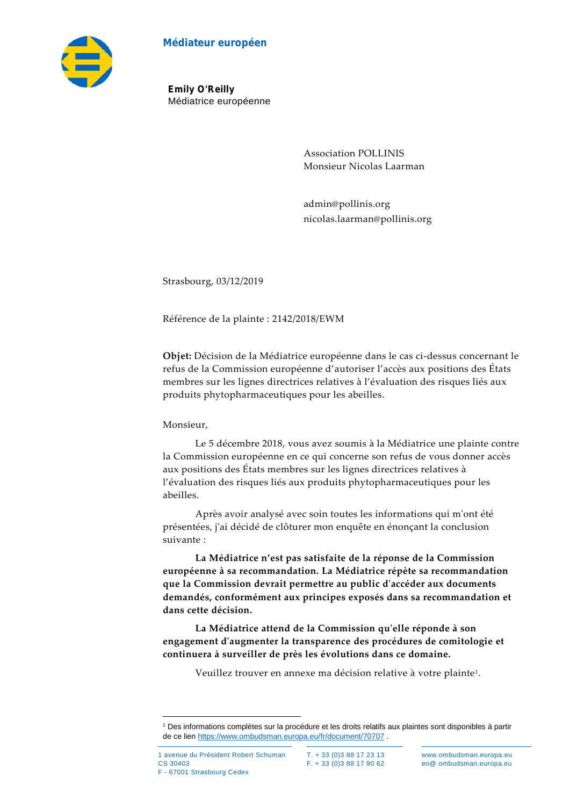#### **Médiateur européen**



**Emily O'Reilly** Médiatrice européenne

> Association POLLINIS Monsieur Nicolas Laarman

admin@pollinis.org nicolas.laarman@pollinis.org

Strasbourg, 03/12/2019

Référence de la plainte : 2142/2018/EWM

**Objet:** Décision de la Médiatrice européenne dans le cas ci-dessus concernant le refus de la Commission européenne d'autoriser l'accès aux positions des États membres sur les lignes directrices relatives à l'évaluation des risques liés aux produits phytopharmaceutiques pour les abeilles.

#### Monsieur,

Le 5 décembre 2018, vous avez soumis à la Médiatrice une plainte contre la Commission européenne en ce qui concerne son refus de vous donner accès aux positions des États membres sur les lignes directrices relatives à l'évaluation des risques liés aux produits phytopharmaceutiques pour les abeilles.<br>Après avoir analysé avec soin toutes les informations qui m'ont été

présentées, j'ai décidé de clôturer mon enquête en énonçant la conclusion suivante :

**La Médiatrice n'est pas satisfaite de la réponse de la Commission européenne à sa recommandation. La Médiatrice répète sa recommandation que la Commission devrait permettre au public d'accéder aux documents demandés, conformément aux principes exposés dans sa recommandation et dans cette décision.**

**La Médiatrice attend de la Commission qu'elle réponde à son engagement d'augmenter la transparence des procédures de comitologie et continuera à surveiller de près les évolutions dans ce domaine.**

Veuillez trouver en annexe ma décision relative à votre plainte<sup>1</sup> .

<sup>1</sup> Des informations complètes sur la procédure et les droits relatifs aux plaintes sont disponibles à partir de ce lien https://www.ombudsman.europa.eu/fr/document/70707 .

F - 67001 Strasbourg Cedex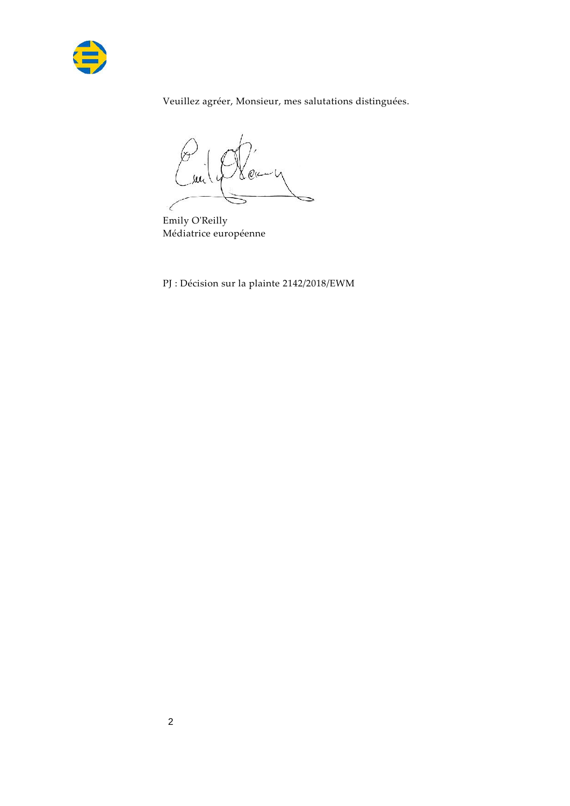

Veuillez agréer, Monsieur, mes salutations distinguées.

 $Q$ ٧

Emily O'Reilly Médiatrice européenne

PJ : Décision sur la plainte 2142/2018/EWM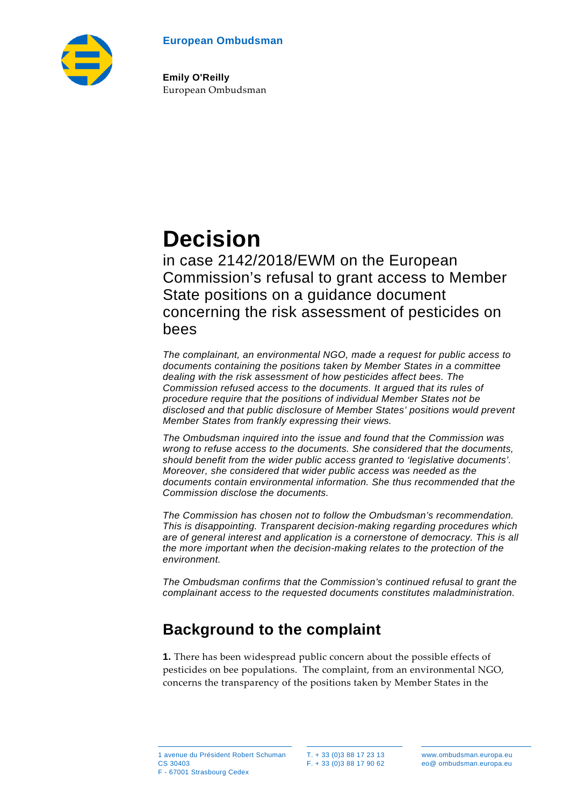



**Emily O'Reilly** European Ombudsman

# **Decision**

in case 2142/2018/EWM on the European Commission's refusal to grant access to Member State positions on a guidance document concerning the risk assessment of pesticides on bees

*The complainant, an environmental NGO, made a request for public access to documents containing the positions taken by Member States in a committee dealing with the risk assessment of how pesticides affect bees. The Commission refused access to the documents. It argued that its rules of procedure require that the positions of individual Member States not be disclosed and that public disclosure of Member States' positions would prevent Member States from frankly expressing their views.*

*The Ombudsman inquired into the issue and found that the Commission was wrong to refuse access to the documents. She considered that the documents, should benefit from the wider public access granted to 'legislative documents'. Moreover, she considered that wider public access was needed as the documents contain environmental information. She thus recommended that the Commission disclose the documents.*

*The Commission has chosen not to follow the Ombudsman's recommendation. This is disappointing. Transparent decision-making regarding procedures which are of general interest and application is a cornerstone of democracy. This is all the more important when the decision-making relates to the protection of the environment.* 

*The Ombudsman confirms that the Commission's continued refusal to grant the complainant access to the requested documents constitutes maladministration.*

# **Background to the complaint**

**1.** There has been widespread public concern about the possible effects of pesticides on bee populations. The complaint, from an environmental NGO, concerns the transparency of the positions taken by Member States in the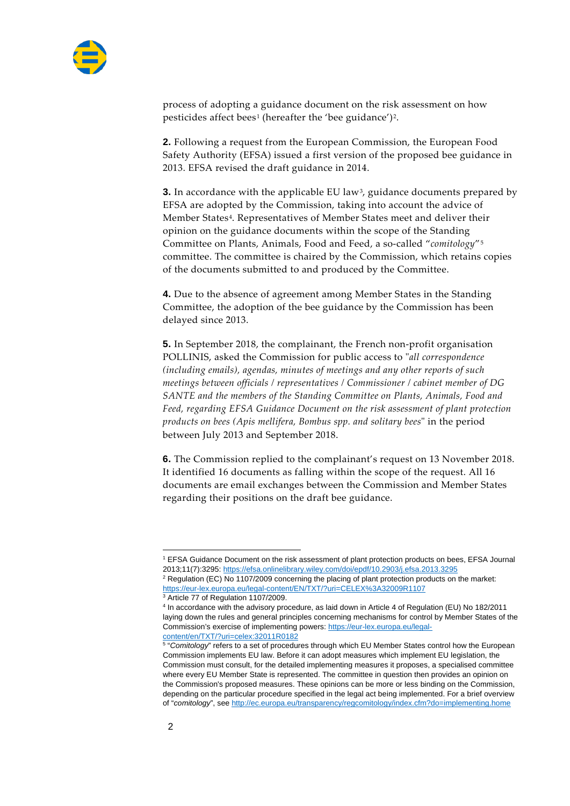

process of adopting a guidance document on the risk assessment on how pesticides affect bees<sup>[1](#page-3-0)</sup> (hereafter the 'bee guidance')<sup>[2](#page-3-1)</sup>.

**2.** Following a request from the European Commission, the European Food Safety Authority (EFSA) issued a first version of the proposed bee guidance in 2013. EFSA revised the draft guidance in 2014.

**3.** In accordance with the applicable EU law<sup>3</sup>, guidance documents prepared by EFSA are adopted by the Commission, taking into account the advice of Member States<sup>[4](#page-3-3)</sup>. Representatives of Member States meet and deliver their opinion on the guidance documents within the scope of the Standing Committee on Plants, Animals, Food and Feed, a so-called "*comitology*"[5](#page-3-4) committee. The committee is chaired by the Commission, which retains copies of the documents submitted to and produced by the Committee.

**4.** Due to the absence of agreement among Member States in the Standing Committee, the adoption of the bee guidance by the Commission has been delayed since 2013.

**5.** In September 2018, the complainant, the French non-profit organisation POLLINIS, asked the Commission for public access to "*all correspondence (including emails), agendas, minutes of meetings and any other reports of such meetings between officials / representatives / Commissioner / cabinet member of DG SANTE and the members of the Standing Committee on Plants, Animals, Food and Feed, regarding EFSA Guidance Document on the risk assessment of plant protection products on bees (Apis mellifera, Bombus spp. and solitary bees*" in the period between July 2013 and September 2018.

**6.** The Commission replied to the complainant's request on 13 November 2018. It identified 16 documents as falling within the scope of the request. All 16 documents are email exchanges between the Commission and Member States regarding their positions on the draft bee guidance.

<span id="page-3-0"></span><sup>&</sup>lt;sup>1</sup> EFSA Guidance Document on the risk assessment of plant protection products on bees, EFSA Journal 2013;11(7):3295:<https://efsa.onlinelibrary.wiley.com/doi/epdf/10.2903/j.efsa.2013.3295>

<span id="page-3-1"></span><sup>&</sup>lt;sup>2</sup> Regulation (EC) No 1107/2009 concerning the placing of plant protection products on the market: <https://eur-lex.europa.eu/legal-content/EN/TXT/?uri=CELEX%3A32009R1107>

<span id="page-3-3"></span><span id="page-3-2"></span><sup>3</sup> Article 77 of Regulation 1107/2009. <sup>4</sup> In accordance with the advisory procedure, as laid down in Article 4 of Regulation (EU) No 182/2011

laying down the rules and general principles concerning mechanisms for control by Member States of the Commission's exercise of implementing powers: [https://eur-lex.europa.eu/legal](https://eur-lex.europa.eu/legal-content/en/TXT/?uri=celex:32011R0182)[content/en/TXT/?uri=celex:32011R0182](https://eur-lex.europa.eu/legal-content/en/TXT/?uri=celex:32011R0182)

<sup>5</sup> "*Comitology*" refers to a set of procedures through which EU Member States control how the European Commission implements EU law. Before it can adopt measures which implement EU legislation, the

<span id="page-3-4"></span>Commission must consult, for the detailed implementing measures it proposes, a specialised committee where every EU Member State is represented. The committee in question then provides an opinion on the Commission's proposed measures. These opinions can be more or less binding on the Commission, depending on the particular procedure specified in the legal act being implemented. For a brief overview of "*comitology*", see<http://ec.europa.eu/transparency/regcomitology/index.cfm?do=implementing.home>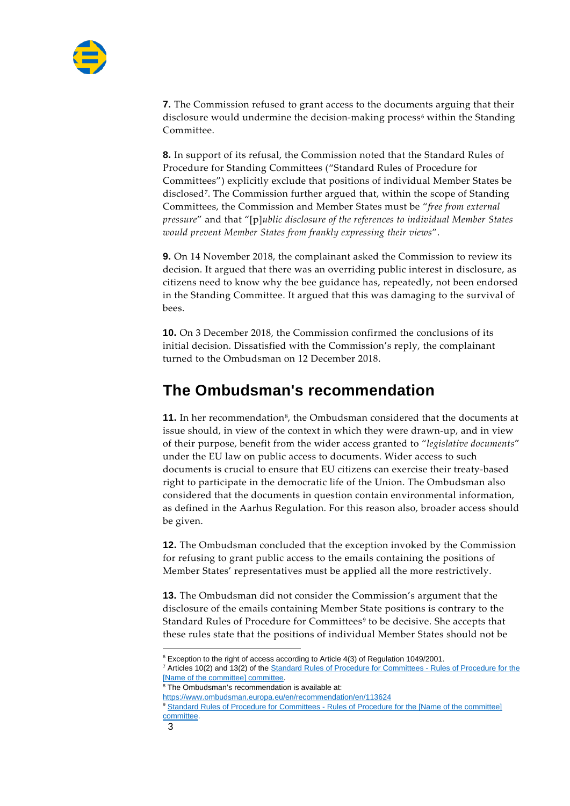

**7.** The Commission refused to grant access to the documents arguing that their disclosure would undermine the decision-making process<sup> $6$ </sup> within the Standing Committee.

**8.** In support of its refusal, the Commission noted that the Standard Rules of Procedure for Standing Committees ("Standard Rules of Procedure for Committees") explicitly exclude that positions of individual Member States be disclosed[7](#page-4-1). The Commission further argued that, within the scope of Standing Committees, the Commission and Member States must be "*free from external pressure*" and that "[p]*ublic disclosure of the references to individual Member States would prevent Member States from frankly expressing their views*".

**9.** On 14 November 2018, the complainant asked the Commission to review its decision. It argued that there was an overriding public interest in disclosure, as citizens need to know why the bee guidance has, repeatedly, not been endorsed in the Standing Committee. It argued that this was damaging to the survival of bees.

**10.** On 3 December 2018, the Commission confirmed the conclusions of its initial decision. Dissatisfied with the Commission's reply, the complainant turned to the Ombudsman on 12 December 2018.

### **The Ombudsman's recommendation**

**11.** In her recommendation<sup>8</sup>, the Ombudsman considered that the documents at issue should, in view of the context in which they were drawn-up, and in view of their purpose, benefit from the wider access granted to "*legislative documents*" under the EU law on public access to documents. Wider access to such documents is crucial to ensure that EU citizens can exercise their treaty-based right to participate in the democratic life of the Union. The Ombudsman also considered that the documents in question contain environmental information, as defined in the Aarhus Regulation. For this reason also, broader access should be given.

**12.** The Ombudsman concluded that the exception invoked by the Commission for refusing to grant public access to the emails containing the positions of Member States' representatives must be applied all the more restrictively.

**13.** The Ombudsman did not consider the Commission's argument that the disclosure of the emails containing Member State positions is contrary to the Standard Rules of Procedure for Committees<sup>[9](#page-4-3)</sup> to be decisive. She accepts that these rules state that the positions of individual Member States should not be

<span id="page-4-2"></span><span id="page-4-1"></span><span id="page-4-0"></span><sup>7</sup> Articles 10(2) and 13(2) of the **Standard Rules of Procedure for Committees** - Rules of Procedure for the [\[Name of the committee\] committee.](https://eur-lex.europa.eu/legal-content/EN/TXT/PDF/?uri=CELEX:32011Q0712(01))

<sup>8</sup> The Ombudsman's recommendation is available at:

<span id="page-4-3"></span><https://www.ombudsman.europa.eu/en/recommendation/en/113624>

<sup>9</sup> Standard Rules of Procedure for Committees - Rules of Procedure for the [Name of the committee] [committee.](https://eur-lex.europa.eu/legal-content/EN/TXT/PDF/?uri=CELEX:32011Q0712(01))

<sup>&</sup>lt;sup>6</sup> Exception to the right of access according to Article 4(3) of Regulation 1049/2001.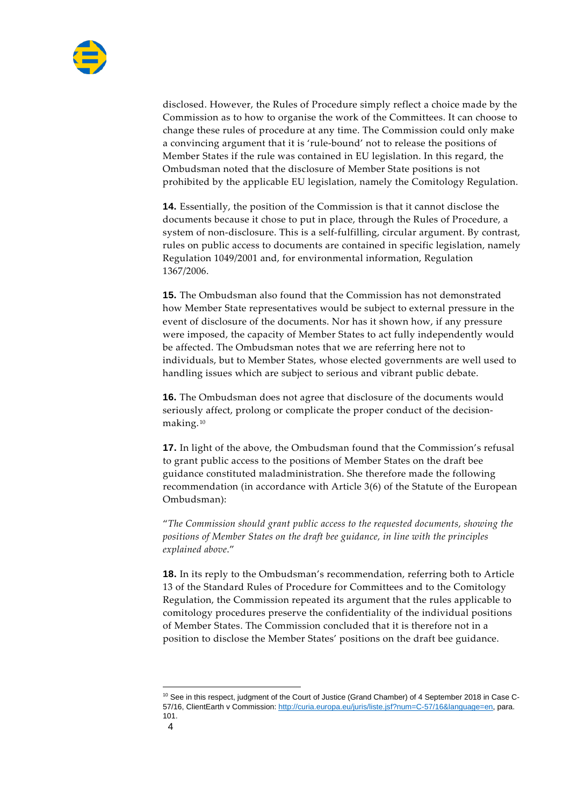

disclosed. However, the Rules of Procedure simply reflect a choice made by the Commission as to how to organise the work of the Committees. It can choose to change these rules of procedure at any time. The Commission could only make a convincing argument that it is 'rule-bound' not to release the positions of Member States if the rule was contained in EU legislation. In this regard, the Ombudsman noted that the disclosure of Member State positions is not prohibited by the applicable EU legislation, namely the Comitology Regulation.

**14.** Essentially, the position of the Commission is that it cannot disclose the documents because it chose to put in place, through the Rules of Procedure, a system of non-disclosure. This is a self-fulfilling, circular argument. By contrast, rules on public access to documents are contained in specific legislation, namely Regulation 1049/2001 and, for environmental information, Regulation 1367/2006.

**15.** The Ombudsman also found that the Commission has not demonstrated how Member State representatives would be subject to external pressure in the event of disclosure of the documents. Nor has it shown how, if any pressure were imposed, the capacity of Member States to act fully independently would be affected. The Ombudsman notes that we are referring here not to individuals, but to Member States, whose elected governments are well used to handling issues which are subject to serious and vibrant public debate.

**16.** The Ombudsman does not agree that disclosure of the documents would seriously affect, prolong or complicate the proper conduct of the decisionmaking. [10](#page-5-0)

**17.** In light of the above, the Ombudsman found that the Commission's refusal to grant public access to the positions of Member States on the draft bee guidance constituted maladministration. She therefore made the following recommendation (in accordance with Article 3(6) of the Statute of the European Ombudsman):

"*The Commission should grant public access to the requested documents, showing the positions of Member States on the draft bee guidance, in line with the principles explained above*."

**18.** In its reply to the Ombudsman's recommendation, referring both to Article 13 of the Standard Rules of Procedure for Committees and to the Comitology Regulation, the Commission repeated its argument that the rules applicable to comitology procedures preserve the confidentiality of the individual positions of Member States. The Commission concluded that it is therefore not in a position to disclose the Member States' positions on the draft bee guidance.

<span id="page-5-0"></span><sup>&</sup>lt;sup>10</sup> See in this respect, judgment of the Court of Justice (Grand Chamber) of 4 September 2018 in Case C-57/16, ClientEarth v Commission: [http://curia.europa.eu/juris/liste.jsf?num=C-57/16&language=en,](http://curia.europa.eu/juris/liste.jsf?num=C-57/16&language=en) para. 101.

<sup>4</sup>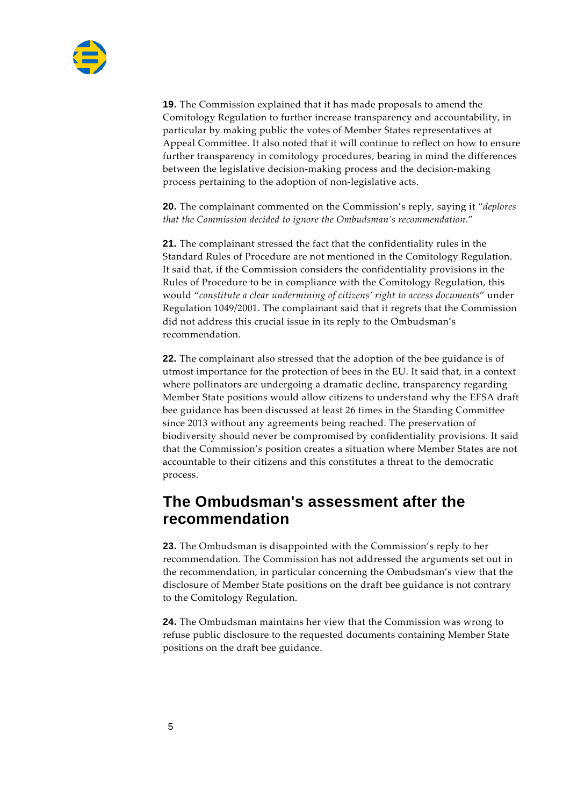

**19.** The Commission explained that it has made proposals to amend the Comitology Regulation to further increase transparency and accountability, in particular by making public the votes of Member States representatives at Appeal Committee. It also noted that it will continue to reflect on how to ensure further transparency in comitology procedures, bearing in mind the differences between the legislative decision-making process and the decision-making process pertaining to the adoption of non-legislative acts.

**20.** The complainant commented on the Commission's reply, saying it "*deplores that the Commission decided to ignore the Ombudsman's recommendation*."

**21.** The complainant stressed the fact that the confidentiality rules in the Standard Rules of Procedure are not mentioned in the Comitology Regulation. It said that, if the Commission considers the confidentiality provisions in the Rules of Procedure to be in compliance with the Comitology Regulation, this would "*constitute a clear undermining of citizens' right to access documents*" under Regulation 1049/2001. The complainant said that it regrets that the Commission did not address this crucial issue in its reply to the Ombudsman's recommendation.

**22.** The complainant also stressed that the adoption of the bee guidance is of utmost importance for the protection of bees in the EU. It said that, in a context where pollinators are undergoing a dramatic decline, transparency regarding Member State positions would allow citizens to understand why the EFSA draft bee guidance has been discussed at least 26 times in the Standing Committee since 2013 without any agreements being reached. The preservation of biodiversity should never be compromised by confidentiality provisions. It said that the Commission's position creates a situation where Member States are not accountable to their citizens and this constitutes a threat to the democratic process.

### **The Ombudsman's assessment after the recommendation**

**23.** The Ombudsman is disappointed with the Commission's reply to her recommendation. The Commission has not addressed the arguments set out in the recommendation, in particular concerning the Ombudsman's view that the disclosure of Member State positions on the draft bee guidance is not contrary to the Comitology Regulation.

**24.** The Ombudsman maintains her view that the Commission was wrong to refuse public disclosure to the requested documents containing Member State positions on the draft bee guidance.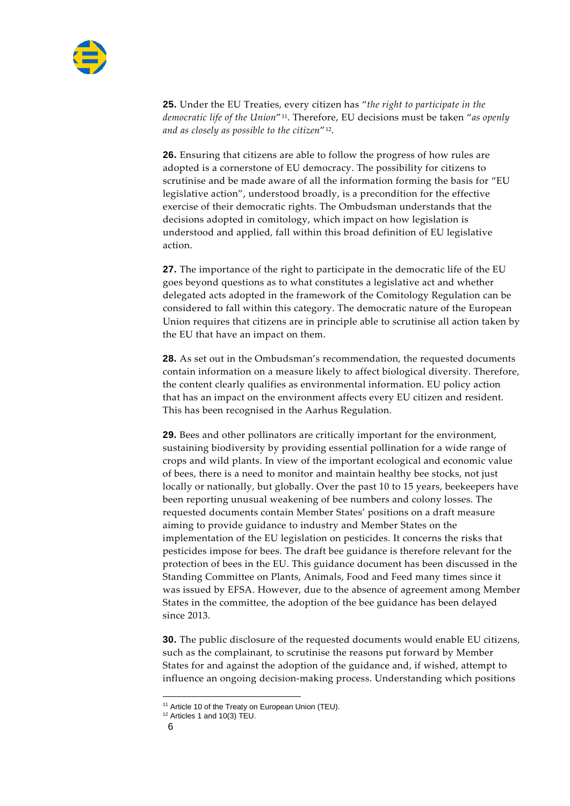

**25.** Under the EU Treaties, every citizen has "*the right to participate in the democratic life of the Union*"[11](#page-7-0). Therefore, EU decisions must be taken "*as openly and as closely as possible to the citizen*"[12](#page-7-1).

**26.** Ensuring that citizens are able to follow the progress of how rules are adopted is a cornerstone of EU democracy. The possibility for citizens to scrutinise and be made aware of all the information forming the basis for "EU legislative action", understood broadly, is a precondition for the effective exercise of their democratic rights. The Ombudsman understands that the decisions adopted in comitology, which impact on how legislation is understood and applied, fall within this broad definition of EU legislative action.

**27.** The importance of the right to participate in the democratic life of the EU goes beyond questions as to what constitutes a legislative act and whether delegated acts adopted in the framework of the Comitology Regulation can be considered to fall within this category. The democratic nature of the European Union requires that citizens are in principle able to scrutinise all action taken by the EU that have an impact on them.

**28.** As set out in the Ombudsman's recommendation, the requested documents contain information on a measure likely to affect biological diversity. Therefore, the content clearly qualifies as environmental information. EU policy action that has an impact on the environment affects every EU citizen and resident. This has been recognised in the Aarhus Regulation.

**29.** Bees and other pollinators are critically important for the environment, sustaining biodiversity by providing essential pollination for a wide range of crops and wild plants. In view of the important ecological and economic value of bees, there is a need to monitor and maintain healthy bee stocks, not just locally or nationally, but globally. Over the past 10 to 15 years, beekeepers have been reporting unusual weakening of bee numbers and colony losses. The requested documents contain Member States' positions on a draft measure aiming to provide guidance to industry and Member States on the implementation of the EU legislation on pesticides. It concerns the risks that pesticides impose for bees. The draft bee guidance is therefore relevant for the protection of bees in the EU. This guidance document has been discussed in the Standing Committee on Plants, Animals, Food and Feed many times since it was issued by EFSA. However, due to the absence of agreement among Member States in the committee, the adoption of the bee guidance has been delayed since 2013.

**30.** The public disclosure of the requested documents would enable EU citizens, such as the complainant, to scrutinise the reasons put forward by Member States for and against the adoption of the guidance and, if wished, attempt to influence an ongoing decision-making process. Understanding which positions

<span id="page-7-1"></span><span id="page-7-0"></span><sup>&</sup>lt;sup>11</sup> Article 10 of the Treaty on European Union (TEU).

<sup>&</sup>lt;sup>12</sup> Articles 1 and 10(3) TEU.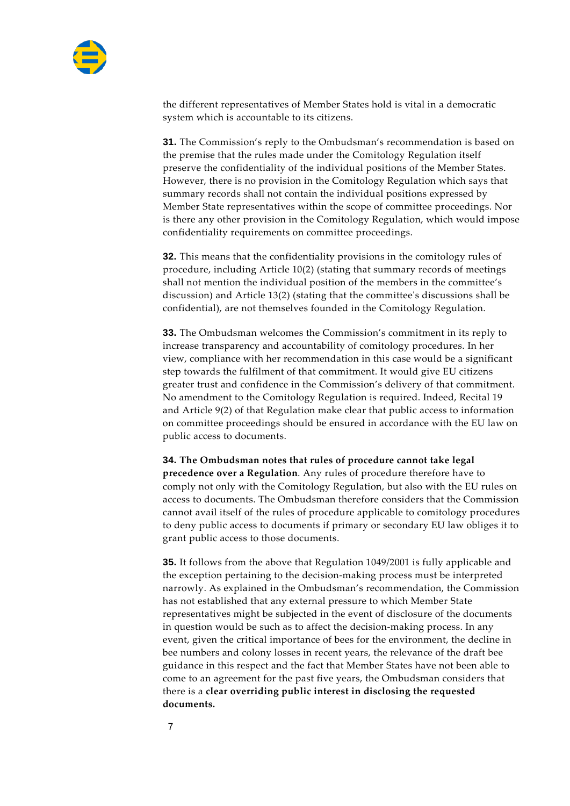

the different representatives of Member States hold is vital in a democratic system which is accountable to its citizens.

**31.** The Commission's reply to the Ombudsman's recommendation is based on the premise that the rules made under the Comitology Regulation itself preserve the confidentiality of the individual positions of the Member States. However, there is no provision in the Comitology Regulation which says that summary records shall not contain the individual positions expressed by Member State representatives within the scope of committee proceedings. Nor is there any other provision in the Comitology Regulation, which would impose confidentiality requirements on committee proceedings.

**32.** This means that the confidentiality provisions in the comitology rules of procedure, including Article 10(2) (stating that summary records of meetings shall not mention the individual position of the members in the committee's discussion) and Article 13(2) (stating that the committee's discussions shall be confidential), are not themselves founded in the Comitology Regulation.

**33.** The Ombudsman welcomes the Commission's commitment in its reply to increase transparency and accountability of comitology procedures. In her view, compliance with her recommendation in this case would be a significant step towards the fulfilment of that commitment. It would give EU citizens greater trust and confidence in the Commission's delivery of that commitment. No amendment to the Comitology Regulation is required. Indeed, Recital 19 and Article 9(2) of that Regulation make clear that public access to information on committee proceedings should be ensured in accordance with the EU law on public access to documents.

**34. The Ombudsman notes that rules of procedure cannot take legal precedence over a Regulation**. Any rules of procedure therefore have to comply not only with the Comitology Regulation, but also with the EU rules on access to documents. The Ombudsman therefore considers that the Commission cannot avail itself of the rules of procedure applicable to comitology procedures to deny public access to documents if primary or secondary EU law obliges it to grant public access to those documents.

**35.** It follows from the above that Regulation 1049/2001 is fully applicable and the exception pertaining to the decision-making process must be interpreted narrowly. As explained in the Ombudsman's recommendation, the Commission has not established that any external pressure to which Member State representatives might be subjected in the event of disclosure of the documents in question would be such as to affect the decision-making process. In any event, given the critical importance of bees for the environment, the decline in bee numbers and colony losses in recent years, the relevance of the draft bee guidance in this respect and the fact that Member States have not been able to come to an agreement for the past five years, the Ombudsman considers that there is a **clear overriding public interest in disclosing the requested documents.**